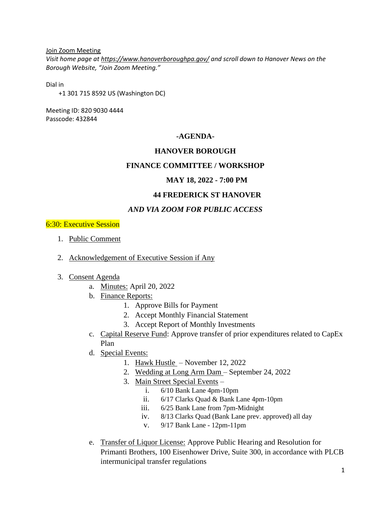Join Zoom Meeting

*Visit home page at<https://www.hanoverboroughpa.gov/> and scroll down to Hanover News on the Borough Website, "Join Zoom Meeting."*

Dial in

+1 301 715 8592 US (Washington DC)

Meeting ID: 820 9030 4444 Passcode: 432844

# **-AGENDA-**

# **HANOVER BOROUGH**

## **FINANCE COMMITTEE / WORKSHOP**

## **MAY 18, 2022 - 7:00 PM**

# **44 FREDERICK ST HANOVER**

# *AND VIA ZOOM FOR PUBLIC ACCESS*

### 6:30: Executive Session

- 1. Public Comment
- 2. Acknowledgement of Executive Session if Any
- 3. Consent Agenda
	- a. Minutes: April 20, 2022
	- b. Finance Reports:
		- 1. Approve Bills for Payment
		- 2. Accept Monthly Financial Statement
		- 3. Accept Report of Monthly Investments
	- c. Capital Reserve Fund: Approve transfer of prior expenditures related to CapEx Plan
	- d. Special Events:
		- 1. Hawk Hustle November 12, 2022
		- 2. Wedding at Long Arm Dam September 24, 2022
		- 3. Main Street Special Events
			- i. 6/10 Bank Lane 4pm-10pm
			- ii. 6/17 Clarks Quad & Bank Lane 4pm-10pm
			- iii. 6/25 Bank Lane from 7pm-Midnight
			- iv. 8/13 Clarks Quad (Bank Lane prev. approved) all day
			- v. 9/17 Bank Lane 12pm-11pm
	- e. Transfer of Liquor License: Approve Public Hearing and Resolution for Primanti Brothers, 100 Eisenhower Drive, Suite 300, in accordance with PLCB intermunicipal transfer regulations